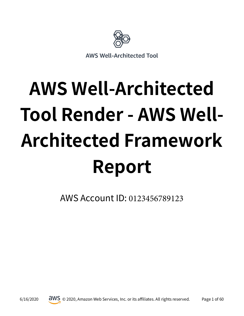

# **AWS Well-Architected Tool Render - AWS Well-Architected Framework Report**

AWS Account ID: 0123456789123

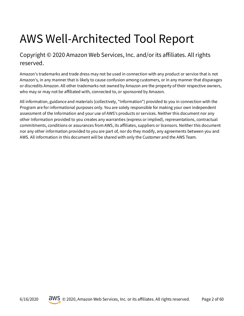## AWS Well-Architected Tool Report

Copyright © 2020 Amazon Web Services, Inc. and/or its affiliates. All rights reserved.

Amazon's trademarks and trade dress may not be used in connection with any product or service that is not Amazon's, in any manner that is likely to cause confusion among customers, or in any manner that disparages or discredits Amazon. All other trademarks not owned by Amazon are the property of their respective owners, who may or may not be affiliated with, connected to, or sponsored by Amazon.

All information, guidance and materials (collectively, "Information") provided to you in connection with the Program are for informational purposes only. You are solely responsible for making your own independent assessment of the Information and your use of AWS's products or services. Neither this document nor any other Information provided to you creates any warranties (express or implied), representations, contractual commitments, conditions or assurances from AWS, its affiliates, suppliers or licensors. Neither this document nor any other information provided to you are part of, nor do they modify, any agreements between you and AWS. All information in this document will be shared with only the Customer and the AWS Team.

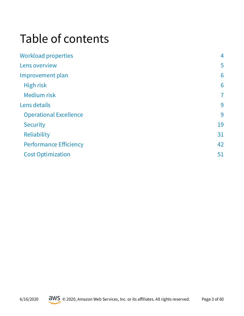## Table of contents

| <b>Workload properties</b>    | 4              |
|-------------------------------|----------------|
| Lens overview                 | 5              |
| Improvement plan              | 6              |
| High risk                     | 6              |
| <b>Medium risk</b>            | $\overline{7}$ |
| Lens details                  | 9              |
| <b>Operational Excellence</b> | 9              |
| <b>Security</b>               | 19             |
| Reliability                   | 31             |
| <b>Performance Efficiency</b> | 42             |
| <b>Cost Optimization</b>      | 51             |

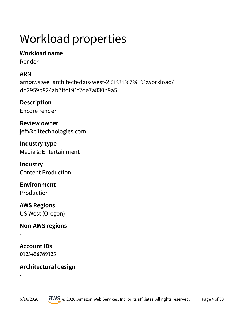## <span id="page-3-0"></span>Workload properties

## **Workload name**

Render

## **ARN**

arn:aws:wellarchitected:us-west-2:0123456789123:workload/ dd2959b824ab7ffc191f2de7a830b9a5

**Description** Encore render

**Review owner** jeff@p1technologies.com

**Industry type** Media & Entertainment

**Industry** Content Production

**Environment** Production

**AWS Regions** US West (Oregon)

**Non-AWS regions**

**Account IDs 0123456789123**

-

-

## **Architectural design**

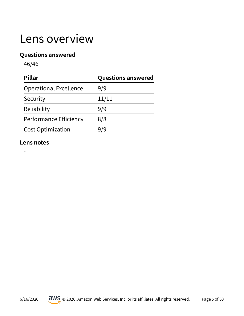## <span id="page-4-0"></span>Lens overview

#### **Questions answered**

46/46

| Pillar                        | <b>Questions answered</b> |  |
|-------------------------------|---------------------------|--|
| <b>Operational Excellence</b> | 9/9                       |  |
| Security                      | 11/11                     |  |
| Reliability                   | 9/9                       |  |
| Performance Efficiency        | 8/8                       |  |
| <b>Cost Optimization</b>      | 9/9                       |  |

#### **Lens notes**

-

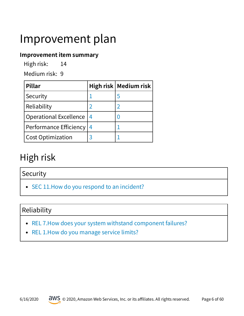## <span id="page-5-0"></span>Improvement plan

#### **Improvement item summary**

High risk: 14

Medium risk: 9

| <b>Pillar</b>                 |                 | High risk   Medium risk |
|-------------------------------|-----------------|-------------------------|
| Security                      |                 |                         |
| Reliability                   |                 |                         |
| <b>Operational Excellence</b> | $\overline{14}$ |                         |
| <b>Performance Efficiency</b> | 4               |                         |
| <b>Cost Optimization</b>      |                 |                         |

## <span id="page-5-1"></span>High risk

## <span id="page-5-2"></span>Security

• SEC 11. How do you respond to an incident?

## <span id="page-5-3"></span>Reliability

- [REL 7.How does your system withstand component failures?](#page-38-0)
- REL 1. How do you manage service limits?

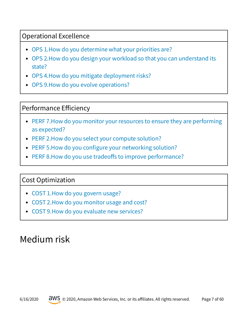## <span id="page-6-1"></span>Operational Excellence

- [OPS 1.How do you determine what your priorities are?](#page-9-0)
- [OPS 2.How do you design your workload so that you can understand its](#page-10-0)  [state?](#page-10-0)
- [OPS 4.How do you mitigate deployment risks?](#page-12-0)
- [OPS 9.How do you evolve operations?](#page-17-0)

## <span id="page-6-2"></span>Performance Efficiency

- [PERF 7.How do you monitor your resources to ensure they are performing](#page-48-0)  [as expected?](#page-48-0)
- PERF 2. How do you select your compute solution?
- PERF 5.How do you configure your networking solution?
- PERF 8.How do you use tradeoffs to improve performance?

## <span id="page-6-3"></span>Cost Optimization

- COST 1. How do you govern usage?
- [COST 2.How do you monitor usage and cost?](#page-52-0)
- [COST 9.How do you evaluate new services?](#page-59-0)

## <span id="page-6-0"></span>Medium risk

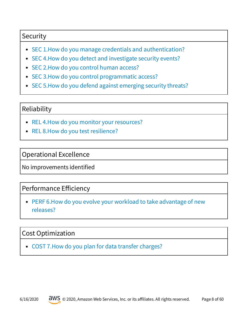## <span id="page-7-0"></span>**Security**

- [SEC 1.How do you manage credentials and authentication?](#page-19-0)
- [SEC 4.How do you detect and investigate security events?](#page-22-0)
- [SEC 2.How do you control human access?](#page-20-0)
- SEC 3. How do you control programmatic access?
- [SEC 5.How do you defend against emerging security threats?](#page-23-0)

#### <span id="page-7-1"></span>Reliability

- [REL 4.How do you monitor your resources?](#page-34-0)
- [REL 8.How do you test resilience?](#page-39-0)

#### <span id="page-7-2"></span>Operational Excellence

No improvements identifed

#### <span id="page-7-3"></span>Performance Efficiency

[PERF 6.How do you evolve your workload to take advantage of new](#page-47-0)  [releases?](#page-47-0)

## <span id="page-7-4"></span>Cost Optimization

[COST 7.How do you plan for data transfer charges?](#page-57-0)

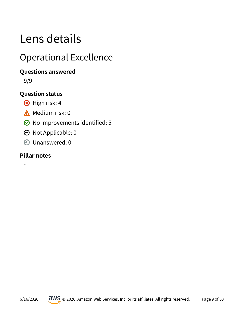## <span id="page-8-0"></span>Lens details

## <span id="page-8-1"></span>Operational Excellence

## **Questions answered**

9/9

## **Question status**

- 8 High risk: 4
- $\triangle$  Medium risk: 0
- $\odot$  No improvements identified: 5
- $\Theta$  Not Applicable: 0
- Unanswered: 0

### **Pillar notes**

-

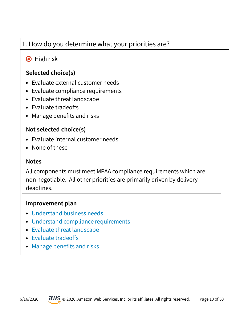## <span id="page-9-0"></span>1. How do you determine what your priorities are?

## **8** High risk

## **Selected choice(s)**

- Evaluate external customer needs
- Evaluate compliance requirements
- Evaluate threat landscape
- Evaluate tradeoffs
- Manage benefits and risks

## **Not selected choice(s)**

- Evaluate internal customer needs
- None of these

#### **Notes**

All components must meet MPAA compliance requirements which are non negotiable. All other priorities are primarily driven by delivery deadlines.

- [Understand business needs](https://wa.aws.amazon.com/wat.question.OPS_1.en.html#step1)
- [Understand compliance requirements](https://wa.aws.amazon.com/wat.question.OPS_1.en.html#step2)
- [Evaluate threat landscape](https://wa.aws.amazon.com/wat.question.OPS_1.en.html#step3)
- Evaluate tradeoffs
- Manage benefits and risks

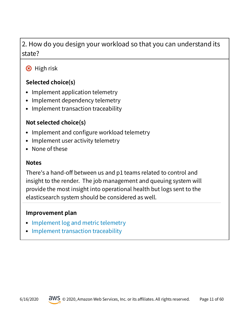## <span id="page-10-0"></span>2. How do you design your workload so that you can understand its state?

## **8** High risk

## **Selected choice(s)**

- Implement application telemetry
- Implement dependency telemetry
- Implement transaction traceability

## **Not selected choice(s)**

- Implement and configure workload telemetry
- Implement user activity telemetry
- None of these

#### **Notes**

There's a hand-off between us and p1 teams related to control and insight to the render. The job management and queuing system will provide the most insight into operational health but logs sent to the elasticsearch system should be considered as well.

- [Implement log and metric telemetry](https://wa.aws.amazon.com/wat.question.OPS_2.en.html#step1)
- [Implement transaction traceability](https://wa.aws.amazon.com/wat.question.OPS_2.en.html#step2)

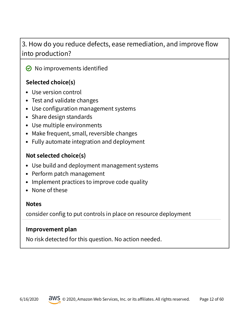## 3. How do you reduce defects, ease remediation, and improve flow into production?

 $\odot$  No improvements identified

## **Selected choice(s)**

- Use version control
- Test and validate changes
- Use configuration management systems
- Share design standards
- Use multiple environments
- Make frequent, small, reversible changes
- Fully automate integration and deployment

### **Not selected choice(s)**

- Use build and deployment management systems
- Perform patch management
- Implement practices to improve code quality
- None of these

#### **Notes**

consider config to put controls in place on resource deployment

#### **Improvement plan**

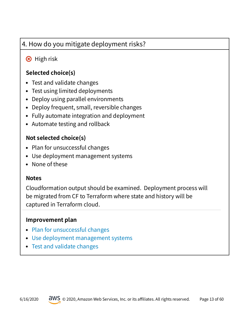## <span id="page-12-0"></span>4. How do you mitigate deployment risks?

## **B** High risk

## **Selected choice(s)**

- Test and validate changes
- Test using limited deployments
- Deploy using parallel environments
- Deploy frequent, small, reversible changes
- Fully automate integration and deployment
- Automate testing and rollback

## **Not selected choice(s)**

- Plan for unsuccessful changes
- Use deployment management systems
- None of these

#### **Notes**

Cloudformation output should be examined. Deployment process will be migrated from CF to Terraform where state and history will be captured in Terraform cloud.

- [Plan for unsuccessful changes](https://wa.aws.amazon.com/wat.question.OPS_4.en.html#step1)
- [Use deployment management systems](https://wa.aws.amazon.com/wat.question.OPS_4.en.html#step2)
- [Test and validate changes](https://wa.aws.amazon.com/wat.question.OPS_4.en.html#step3)

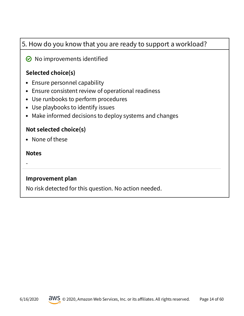## 5. How do you know that you are ready to support a workload?

## $\odot$  No improvements identified

## **Selected choice(s)**

- Ensure personnel capability
- Ensure consistent review of operational readiness
- Use runbooks to perform procedures
- Use playbooks to identify issues
- Make informed decisions to deploy systems and changes

#### **Not selected choice(s)**

• None of these

#### **Notes**

-

#### **Improvement plan**

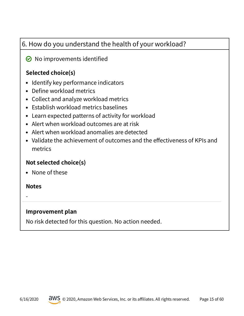## 6. How do you understand the health of your workload?

## $\odot$  No improvements identified

## **Selected choice(s)**

- Identify key performance indicators
- Define workload metrics
- Collect and analyze workload metrics
- Establish workload metrics baselines
- Learn expected patterns of activity for workload
- Alert when workload outcomes are at risk
- Alert when workload anomalies are detected
- Validate the achievement of outcomes and the effectiveness of KPIs and metrics

#### **Not selected choice(s)**

• None of these

#### **Notes**

-

#### **Improvement plan**

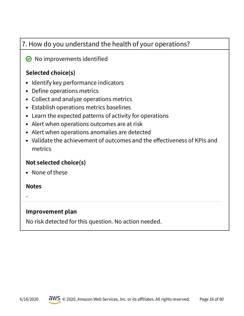## 7. How do you understand the health of your operations?

#### $\odot$  No improvements identified

### **Selected choice(s)**

- Identify key performance indicators
- Define operations metrics
- Collect and analyze operations metrics
- Establish operations metrics baselines
- Learn the expected patterns of activity for operations
- Alert when operations outcomes are at risk
- Alert when operations anomalies are detected
- Validate the achievement of outcomes and the effectiveness of KPIs and metrics

#### **Not selected choice(s)**

• None of these

#### **Notes**

-

#### **Improvement plan**

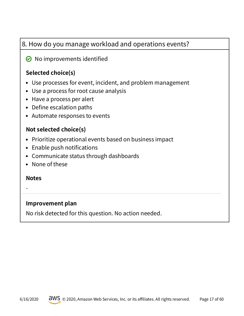## 8. How do you manage workload and operations events?

## $\odot$  No improvements identified

## **Selected choice(s)**

- Use processes for event, incident, and problem management
- Use a process for root cause analysis
- Have a process per alert
- Define escalation paths
- Automate responses to events

#### **Not selected choice(s)**

- Prioritize operational events based on business impact
- Enable push notifications
- Communicate status through dashboards
- None of these

#### **Notes**

-

## **Improvement plan**

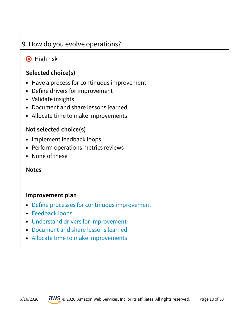## <span id="page-17-0"></span>9. How do you evolve operations?

## **8** High risk

### **Selected choice(s)**

- Have a process for continuous improvement
- Define drivers for improvement
- Validate insights
- Document and share lessons learned
- Allocate time to make improvements

#### **Not selected choice(s)**

- Implement feedback loops
- Perform operations metrics reviews
- None of these

#### **Notes**

-

- Define processes for continuous improvement
- [Feedback loops](https://wa.aws.amazon.com/wat.question.OPS_9.en.html#step2)
- [Understand drivers for improvement](https://wa.aws.amazon.com/wat.question.OPS_9.en.html#step3)
- [Document and share lessons learned](https://wa.aws.amazon.com/wat.question.OPS_9.en.html#step4)
- [Allocate time to make improvements](https://wa.aws.amazon.com/wat.question.OPS_9.en.html#step5)

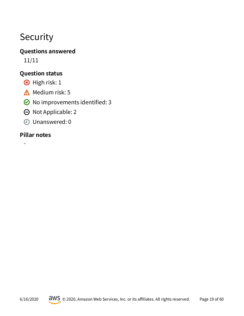## <span id="page-18-0"></span>Security

## **Questions answered**

11/11

## **Question status**

- 8 High risk: 1
- $\triangle$  Medium risk: 5
- $\odot$  No improvements identified: 3
- $\Theta$  Not Applicable: 2
- Unanswered: 0

## **Pillar notes**

-

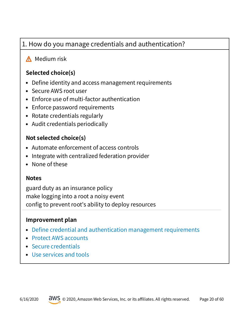## <span id="page-19-0"></span>1. How do you manage credentials and authentication?

## **A** Medium risk

## **Selected choice(s)**

- Define identity and access management requirements
- Secure AWS root user
- Enforce use of multi-factor authentication
- Enforce password requirements
- Rotate credentials regularly
- Audit credentials periodically

#### **Not selected choice(s)**

- Automate enforcement of access controls
- Integrate with centralized federation provider
- None of these

#### **Notes**

guard duty as an insurance policy make logging into a root a noisy event config to prevent root's ability to deploy resources

- Define credential and authentication management requirements
- [Protect AWS accounts](https://wa.aws.amazon.com/wat.question.SEC_1.en.html#step2)
- [Secure credentials](https://wa.aws.amazon.com/wat.question.SEC_1.en.html#step3)
- [Use services and tools](https://wa.aws.amazon.com/wat.question.SEC_1.en.html#step4)

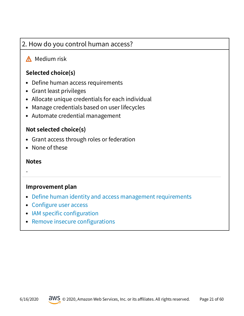## <span id="page-20-0"></span>2. How do you control human access?

## **A** Medium risk

### **Selected choice(s)**

- Define human access requirements
- Grant least privileges
- Allocate unique credentials for each individual
- Manage credentials based on user lifecycles
- Automate credential management

#### **Not selected choice(s)**

- Grant access through roles or federation
- None of these

#### **Notes**

-

- Define human identity and access management requirements
- Configure user access
- IAM specific configuration
- Remove insecure configurations

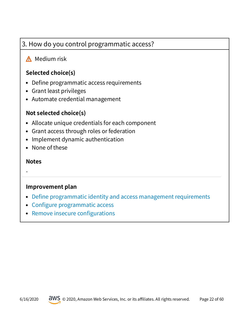## <span id="page-21-0"></span>3. How do you control programmatic access?

## **A** Medium risk

### **Selected choice(s)**

- Define programmatic access requirements
- Grant least privileges
- Automate credential management

#### **Not selected choice(s)**

- Allocate unique credentials for each component
- Grant access through roles or federation
- Implement dynamic authentication
- None of these

#### **Notes**

-

- Define programmatic identity and access management requirements
- Configure programmatic access
- Remove insecure configurations

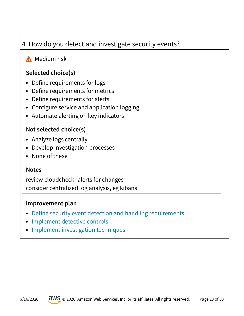## <span id="page-22-0"></span>4. How do you detect and investigate security events?

## **A** Medium risk

## **Selected choice(s)**

- Define requirements for logs
- Define requirements for metrics
- Define requirements for alerts
- Configure service and application logging
- Automate alerting on key indicators

#### **Not selected choice(s)**

- Analyze logs centrally
- Develop investigation processes
- None of these

#### **Notes**

review cloudcheckr alerts for changes consider centralized log analysis, eg kibana

- Define security event detection and handling requirements
- [Implement detective controls](https://wa.aws.amazon.com/wat.question.SEC_4.en.html#step2)
- [Implement investigation techniques](https://wa.aws.amazon.com/wat.question.SEC_4.en.html#step3)

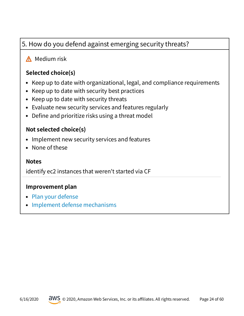## <span id="page-23-0"></span>5. How do you defend against emerging security threats?

## **A** Medium risk

## **Selected choice(s)**

- Keep up to date with organizational, legal, and compliance requirements
- Keep up to date with security best practices
- Keep up to date with security threats
- Evaluate new security services and features regularly
- Define and prioritize risks using a threat model

#### **Not selected choice(s)**

- Implement new security services and features
- None of these

#### **Notes**

identify ec2 instances that weren't started via CF

- [Plan your defense](https://wa.aws.amazon.com/wat.question.SEC_5.en.html#step1)
- [Implement defense mechanisms](https://wa.aws.amazon.com/wat.question.SEC_5.en.html#step2)

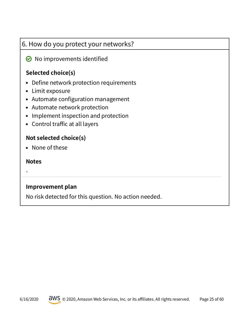## 6. How do you protect your networks?

## $\odot$  No improvements identified

## **Selected choice(s)**

- Define network protection requirements
- Limit exposure
- Automate configuration management
- Automate network protection
- Implement inspection and protection
- Control traffic at all layers

## **Not selected choice(s)**

• None of these

#### **Notes**

-

## **Improvement plan**

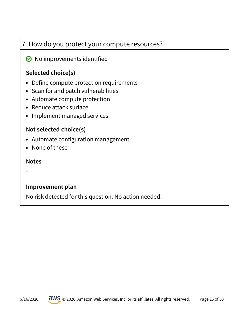## 7. How do you protect your compute resources?

 $\odot$  No improvements identified

## **Selected choice(s)**

- Define compute protection requirements
- Scan for and patch vulnerabilities
- Automate compute protection
- Reduce attack surface
- Implement managed services

## **Not selected choice(s)**

- Automate configuration management
- None of these

#### **Notes**

-

## **Improvement plan**

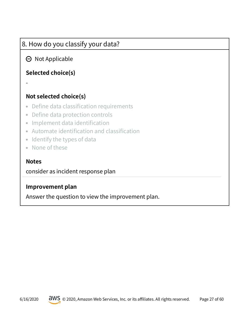## 8. How do you classify your data?

## $\Theta$  Not Applicable

## **Selected choice(s)**

#### **Not selected choice(s)**

- Define data classification requirements
- Define data protection controls
- Implement data identification
- Automate identification and classification
- Identify the types of data
- None of these

#### **Notes**

-

consider as incident response plan

#### **Improvement plan**

Answer the question to view the improvement plan.

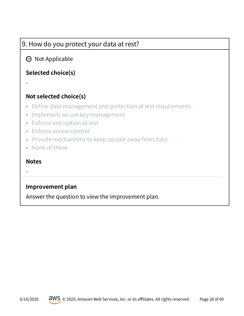## 9. How do you protect your data at rest?

## $\Theta$  Not Applicable

## **Selected choice(s)**

- **Not selected choice(s)**
- Define data management and protection at rest requirements
- Implement secure key management
- Enforce encryption at rest
- Enforce access control
- Provide mechanisms to keep people away from data
- None of these

#### **Notes**

-

-

#### **Improvement plan**

Answer the question to view the improvement plan.

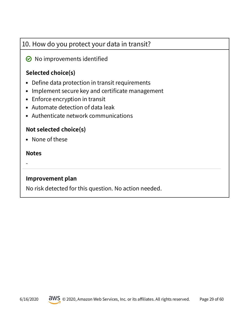## 10. How do you protect your data in transit?

 $\odot$  No improvements identified

## **Selected choice(s)**

- Define data protection in transit requirements
- Implement secure key and certificate management
- Enforce encryption in transit
- Automate detection of data leak
- Authenticate network communications

#### **Not selected choice(s)**

• None of these

#### **Notes**

-

#### **Improvement plan**

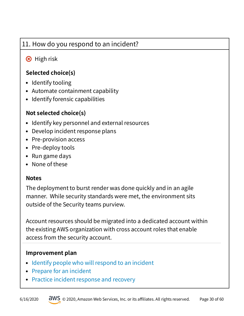## <span id="page-29-0"></span>11. How do you respond to an incident?

## **8** High risk

## **Selected choice(s)**

- Identify tooling
- Automate containment capability
- Identify forensic capabilities

## **Not selected choice(s)**

- Identify key personnel and external resources
- Develop incident response plans
- Pre-provision access
- Pre-deploy tools
- Run game days
- None of these

#### **Notes**

The deployment to burst render was done quickly and in an agile manner. While security standards were met, the environment sits outside of the Security teams purview.

Account resources should be migrated into a dedicated account within the existing AWS organization with cross account roles that enable access from the security account.

- [Identify people who will respond to an incident](https://wa.aws.amazon.com/wat.question.SEC_11.en.html#step1)
- [Prepare for an incident](https://wa.aws.amazon.com/wat.question.SEC_11.en.html#step2)
- [Practice incident response and recovery](https://wa.aws.amazon.com/wat.question.SEC_11.en.html#step3)

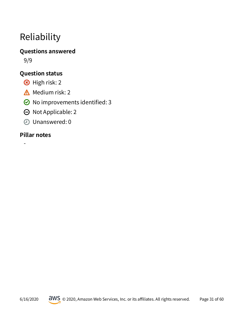## <span id="page-30-0"></span>Reliability

## **Questions answered**

9/9

## **Question status**

- 8 High risk: 2
- $\triangle$  Medium risk: 2
- $\odot$  No improvements identified: 3
- $\Theta$  Not Applicable: 2
- Unanswered: 0

## **Pillar notes**

-

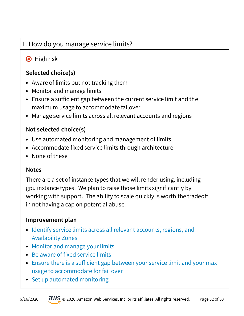## <span id="page-31-0"></span>1. How do you manage service limits?

## **8** High risk

## **Selected choice(s)**

- Aware of limits but not tracking them
- Monitor and manage limits
- Ensure a sufficient gap between the current service limit and the maximum usage to accommodate failover
- Manage service limits across all relevant accounts and regions

## **Not selected choice(s)**

- Use automated monitoring and management of limits
- Accommodate fixed service limits through architecture
- None of these

#### **Notes**

There are a set of instance types that we will render using, including gpu instance types. We plan to raise those limits signifcantly by working with support. The ability to scale quickly is worth the tradeof in not having a cap on potential abuse.

- Identify service limits across all relevant accounts, regions, and [Availability Zones](https://wa.aws.amazon.com/wat.question.REL_1.en.html#step1)
- [Monitor and manage your limits](https://wa.aws.amazon.com/wat.question.REL_1.en.html#step2)
- Be aware of fixed service limits
- $\bullet$  Ensure there is a sufficient gap between your service limit and your max [usage to accommodate for fail over](https://wa.aws.amazon.com/wat.question.REL_1.en.html#step4)
- [Set up automated monitoring](https://wa.aws.amazon.com/wat.question.REL_1.en.html#step5)

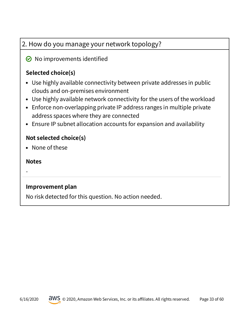## 2. How do you manage your network topology?

 $\odot$  No improvements identified

## **Selected choice(s)**

- Use highly available connectivity between private addresses in public clouds and on-premises environment
- Use highly available network connectivity for the users of the workload
- Enforce non-overlapping private IP address ranges in multiple private address spaces where they are connected
- Ensure IP subnet allocation accounts for expansion and availability

#### **Not selected choice(s)**

• None of these

#### **Notes**

-

## **Improvement plan**

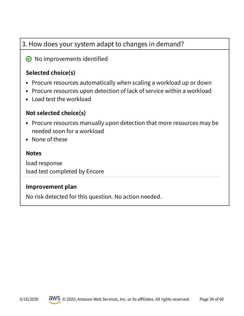## 3. How does your system adapt to changes in demand?

## $\odot$  No improvements identified

## **Selected choice(s)**

- Procure resources automatically when scaling a workload up or down
- Procure resources upon detection of lack of service within a workload
- Load test the workload

#### **Not selected choice(s)**

- Procure resources manually upon detection that more resources may be needed soon for a workload
- None of these

#### **Notes**

load response load test completed by Encore

#### **Improvement plan**

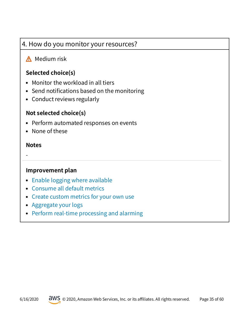## <span id="page-34-0"></span>4. How do you monitor your resources?

## **A** Medium risk

## **Selected choice(s)**

- Monitor the workload in all tiers
- Send notifications based on the monitoring
- Conduct reviews regularly

#### **Not selected choice(s)**

- Perform automated responses on events
- None of these

#### **Notes**

-

- [Enable logging where available](https://wa.aws.amazon.com/wat.question.REL_4.en.html#step1)
- [Consume all default metrics](https://wa.aws.amazon.com/wat.question.REL_4.en.html#step2)
- [Create custom metrics for your own use](https://wa.aws.amazon.com/wat.question.REL_4.en.html#step3)
- [Aggregate your logs](https://wa.aws.amazon.com/wat.question.REL_4.en.html#step4)
- [Perform real-time processing and alarming](https://wa.aws.amazon.com/wat.question.REL_4.en.html#step5)

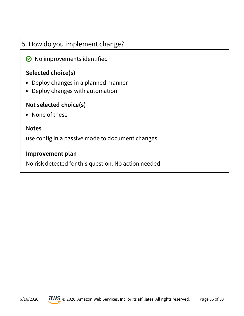## 5. How do you implement change?

 $\odot$  No improvements identified

## **Selected choice(s)**

- Deploy changes in a planned manner
- Deploy changes with automation

## **Not selected choice(s)**

• None of these

#### **Notes**

use config in a passive mode to document changes

#### **Improvement plan**

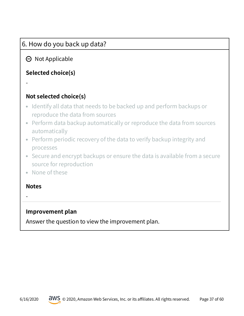## 6. How do you back up data?

## $\Theta$  Not Applicable

## **Selected choice(s)**

- **Not selected choice(s)**
- Identify all data that needs to be backed up and perform backups or reproduce the data from sources
- Perform data backup automatically or reproduce the data from sources automatically
- Perform periodic recovery of the data to verify backup integrity and processes
- Secure and encrypt backups or ensure the data is available from a secure source for reproduction
- None of these

#### **Notes**

-

-

#### **Improvement plan**

Answer the question to view the improvement plan.

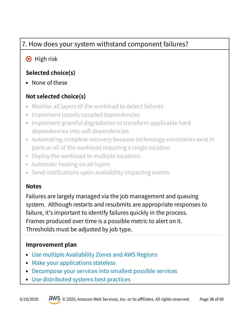## 7. How does your system withstand component failures?

## **B** High risk

## **Selected choice(s)**

• None of these

## **Not selected choice(s)**

- Monitor all layers of the workload to detect failures
- Implement loosely coupled dependencies
- Implement graceful degradation to transform applicable hard dependencies into soft dependencies
- Automating complete recovery because technology constraints exist in parts or all of the workload requiring a single location
- Deploy the workload to multiple locations
- Automate healing on all layers
- Send notifications upon availability impacting events

## **Notes**

Failures are largely managed via the job management and queuing system. Although restarts and resubmits are appropriate responses to failure, it's important to identify failures quickly in the process. Frames produced over time is a possible metric to alert on it. Thresholds must be adjusted by job type.

- [Use multiple Availability Zones and AWS Regions](https://wa.aws.amazon.com/wat.question.REL_7.en.html#step1)
- [Make your applications stateless](https://wa.aws.amazon.com/wat.question.REL_7.en.html#step2)
- [Decompose your services into smallest possible services](https://wa.aws.amazon.com/wat.question.REL_7.en.html#step3)
- [Use distributed systems best practices](https://wa.aws.amazon.com/wat.question.REL_7.en.html#step4)

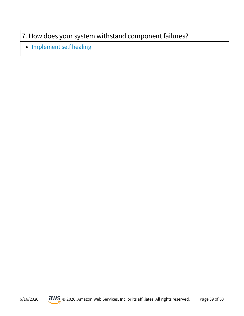## <span id="page-38-0"></span>7. How does your system withstand component failures?

• [Implement self healing](https://wa.aws.amazon.com/wat.question.REL_7.en.html#step5)

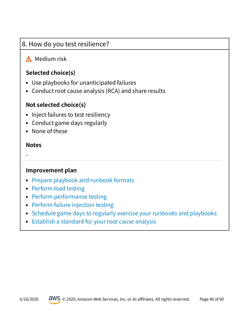## <span id="page-39-0"></span>8. How do you test resilience?

## **A** Medium risk

## **Selected choice(s)**

- Use playbooks for unanticipated failures
- Conduct root cause analysis (RCA) and share results

## **Not selected choice(s)**

- Inject failures to test resiliency
- Conduct game days regularly
- None of these

#### **Notes**

-

- [Prepare playbook and runbook formats](https://wa.aws.amazon.com/wat.question.REL_8.en.html#step1)
- [Perform load testing](https://wa.aws.amazon.com/wat.question.REL_8.en.html#step2)
- [Perform performance testing](https://wa.aws.amazon.com/wat.question.REL_8.en.html#step3)
- [Perform failure injection testing](https://wa.aws.amazon.com/wat.question.REL_8.en.html#step4)
- [Schedule game days to regularly exercise your runbooks and playbooks](https://wa.aws.amazon.com/wat.question.REL_8.en.html#step5)
- [Establish a standard for your root cause analysis](https://wa.aws.amazon.com/wat.question.REL_8.en.html#step6)

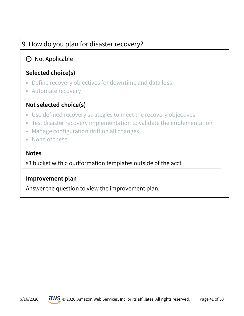## 9. How do you plan for disaster recovery?

## $\Theta$  Not Applicable

## **Selected choice(s)**

- Define recovery objectives for downtime and data loss
- Automate recovery

## **Not selected choice(s)**

- Use defned recovery strategies to meet the recovery objectives
- Test disaster recovery implementation to validate the implementation
- Manage configuration drift on all changes
- None of these

#### **Notes**

s3 bucket with cloudformation templates outside of the acct

#### **Improvement plan**

Answer the question to view the improvement plan.

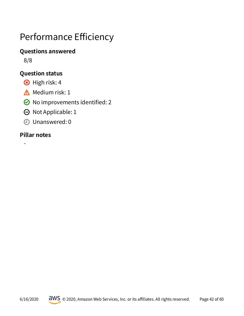## <span id="page-41-0"></span>Performance Efficiency

#### **Questions answered**

8/8

## **Question status**

- 8 High risk: 4
- $\triangle$  Medium risk: 1
- $\odot$  No improvements identified: 2
- $\Theta$  Not Applicable: 1
- Unanswered: 0

## **Pillar notes**

-

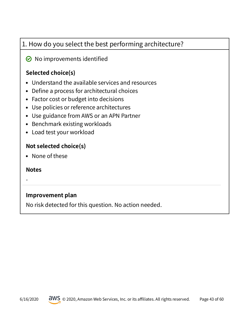## 1. How do you select the best performing architecture?

## $\odot$  No improvements identified

## **Selected choice(s)**

- Understand the available services and resources
- Define a process for architectural choices
- Factor cost or budget into decisions
- Use policies or reference architectures
- Use guidance from AWS or an APN Partner
- Benchmark existing workloads
- Load test your workload

#### **Not selected choice(s)**

• None of these

#### **Notes**

-

#### **Improvement plan**

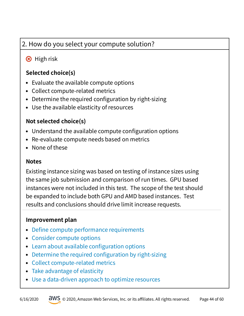## <span id="page-43-0"></span>2. How do you select your compute solution?

## **B** High risk

## **Selected choice(s)**

- Evaluate the available compute options
- Collect compute-related metrics
- Determine the required configuration by right-sizing
- Use the available elasticity of resources

## **Not selected choice(s)**

- Understand the available compute configuration options
- Re-evaluate compute needs based on metrics
- None of these

#### **Notes**

Existing instance sizing was based on testing of instance sizes using the same job submission and comparison of run times. GPU based instances were not included in this test. The scope of the test should be expanded to include both GPU and AMD based instances. Test results and conclusions should drive limit increase requests.

- Define compute performance requirements
- [Consider compute options](https://wa.aws.amazon.com/wat.question.PERF_2.en.html#step2)
- Learn about available configuration options
- Determine the required configuration by right-sizing
- [Collect compute-related metrics](https://wa.aws.amazon.com/wat.question.PERF_2.en.html#step5)
- [Take advantage of elasticity](https://wa.aws.amazon.com/wat.question.PERF_2.en.html#step6)
- [Use a data-driven approach to optimize resources](https://wa.aws.amazon.com/wat.question.PERF_2.en.html#step7)

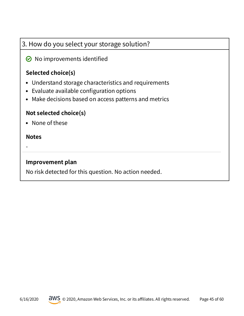## 3. How do you select your storage solution?

 $\odot$  No improvements identified

## **Selected choice(s)**

- Understand storage characteristics and requirements
- Evaluate available configuration options
- Make decisions based on access patterns and metrics

## **Not selected choice(s)**

• None of these

#### **Notes**

-

#### **Improvement plan**

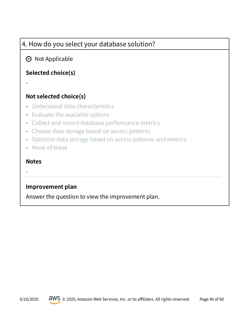## 4. How do you select your database solution?

## $\Theta$  Not Applicable

## **Selected choice(s)**

- **Not selected choice(s)**
- Understand data characteristics
- Evaluate the available options
- Collect and record database performance metrics
- Choose data storage based on access patterns
- Optimize data storage based on access patterns and metrics
- None of these

#### **Notes**

-

-

#### **Improvement plan**

Answer the question to view the improvement plan.

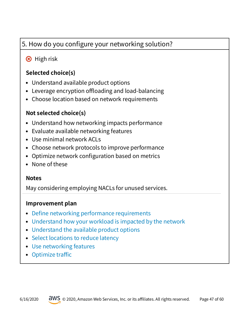## <span id="page-46-0"></span>5. How do you configure your networking solution?

## **B** High risk

## **Selected choice(s)**

- Understand available product options
- $\bullet$  Leverage encryption offloading and load-balancing
- Choose location based on network requirements

## **Not selected choice(s)**

- Understand how networking impacts performance
- Evaluate available networking features
- Use minimal network ACLs
- Choose network protocols to improve performance
- Optimize network configuration based on metrics
- None of these

#### **Notes**

May considering employing NACLs for unused services.

- Define networking performance requirements
- [Understand how your workload is impacted by the network](https://wa.aws.amazon.com/wat.question.PERF_5.en.html#step2)
- [Understand the available product options](https://wa.aws.amazon.com/wat.question.PERF_5.en.html#step3)
- [Select locations to reduce latency](https://wa.aws.amazon.com/wat.question.PERF_5.en.html#step4)
- [Use networking features](https://wa.aws.amazon.com/wat.question.PERF_5.en.html#step5)
- $\bullet$  Optimize traffic

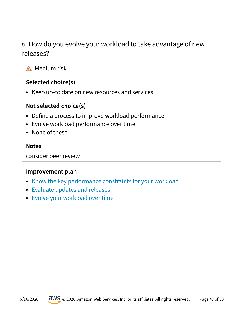## <span id="page-47-0"></span>6. How do you evolve your workload to take advantage of new releases?

## **A** Medium risk

## **Selected choice(s)**

Keep up-to date on new resources and services

## **Not selected choice(s)**

- Define a process to improve workload performance
- Evolve workload performance over time
- None of these

#### **Notes**

consider peer review

- [Know the key performance constraints for your workload](https://wa.aws.amazon.com/wat.question.PERF_6.en.html#step1)
- [Evaluate updates and releases](https://wa.aws.amazon.com/wat.question.PERF_6.en.html#step2)
- [Evolve your workload over time](https://wa.aws.amazon.com/wat.question.PERF_6.en.html#step3)

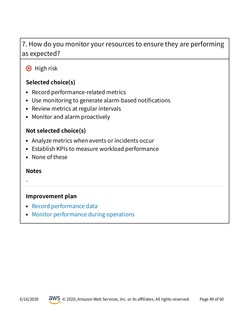## <span id="page-48-0"></span>7. How do you monitor your resources to ensure they are performing as expected?

**8** High risk

## **Selected choice(s)**

- Record performance-related metrics
- Use monitoring to generate alarm-based notifications
- Review metrics at regular intervals
- Monitor and alarm proactively

## **Not selected choice(s)**

- Analyze metrics when events or incidents occur
- Establish KPIs to measure workload performance
- None of these

#### **Notes**

-

- [Record performance data](https://wa.aws.amazon.com/wat.question.PERF_7.en.html#step1)
- [Monitor performance during operations](https://wa.aws.amazon.com/wat.question.PERF_7.en.html#step2)

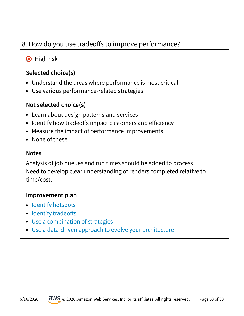## <span id="page-49-0"></span>8. How do you use tradeoffs to improve performance?

## **B** High risk

### **Selected choice(s)**

- Understand the areas where performance is most critical
- Use various performance-related strategies

#### **Not selected choice(s)**

- Learn about design patterns and services
- Identify how tradeoffs impact customers and efficiency
- Measure the impact of performance improvements
- None of these

#### **Notes**

Analysis of job queues and run times should be added to process. Need to develop clear understanding of renders completed relative to time/cost.

- [Identify hotspots](https://wa.aws.amazon.com/wat.question.PERF_8.en.html#step1)
- Identify tradeoffs
- [Use a combination of strategies](https://wa.aws.amazon.com/wat.question.PERF_8.en.html#step3)
- [Use a data-driven approach to evolve your architecture](https://wa.aws.amazon.com/wat.question.PERF_8.en.html#step4)

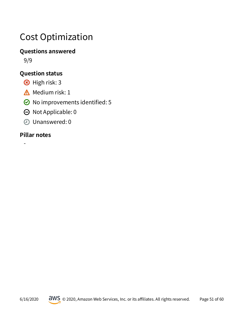## <span id="page-50-0"></span>Cost Optimization

## **Questions answered**

9/9

## **Question status**

- 8 High risk: 3
- $\triangle$  Medium risk: 1
- $\odot$  No improvements identified: 5
- $\Theta$  Not Applicable: 0
- Unanswered: 0

## **Pillar notes**

-

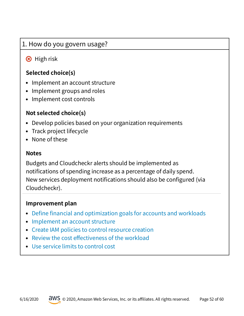## <span id="page-51-0"></span>1. How do you govern usage?

## **B** High risk

## **Selected choice(s)**

- Implement an account structure
- Implement groups and roles
- Implement cost controls

## **Not selected choice(s)**

- Develop policies based on your organization requirements
- Track project lifecycle
- None of these

#### **Notes**

Budgets and Cloudcheckr alerts should be implemented as notifcations of spending increase as a percentage of daily spend. New services deployment notifications should also be configured (via Cloudcheckr).

- Define financial and optimization goals for accounts and workloads
- [Implement an account structure](https://wa.aws.amazon.com/wat.question.COST_1.en.html#step2)
- [Create IAM policies to control resource creation](https://wa.aws.amazon.com/wat.question.COST_1.en.html#step3)
- Review the cost effectiveness of the workload
- [Use service limits to control cost](https://wa.aws.amazon.com/wat.question.COST_1.en.html#step5)

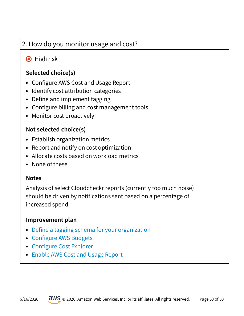## <span id="page-52-0"></span>2. How do you monitor usage and cost?

## **B** High risk

## **Selected choice(s)**

- Configure AWS Cost and Usage Report
- Identify cost attribution categories
- Define and implement tagging
- Configure billing and cost management tools
- Monitor cost proactively

## **Not selected choice(s)**

- Establish organization metrics
- Report and notify on cost optimization
- Allocate costs based on workload metrics
- None of these

#### **Notes**

Analysis of select Cloudcheckr reports (currently too much noise) should be driven by notifications sent based on a percentage of increased spend.

- Define a tagging schema for your organization
- Configure AWS Budgets
- Configure Cost Explorer
- [Enable AWS Cost and Usage Report](https://wa.aws.amazon.com/wat.question.COST_2.en.html#step4)

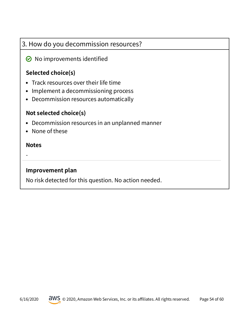## 3. How do you decommission resources?

## $\odot$  No improvements identified

## **Selected choice(s)**

- Track resources over their life time
- Implement a decommissioning process
- Decommission resources automatically

#### **Not selected choice(s)**

- Decommission resources in an unplanned manner
- None of these

#### **Notes**

-

#### **Improvement plan**

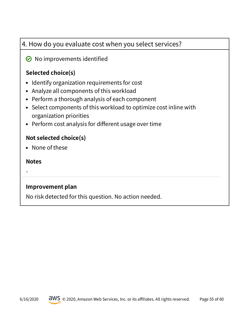## 4. How do you evaluate cost when you select services?

## $\odot$  No improvements identified

## **Selected choice(s)**

- Identify organization requirements for cost
- Analyze all components of this workload
- Perform a thorough analysis of each component
- Select components of this workload to optimize cost inline with organization priorities
- Perform cost analysis for different usage over time

## **Not selected choice(s)**

• None of these

#### **Notes**

-

## **Improvement plan**

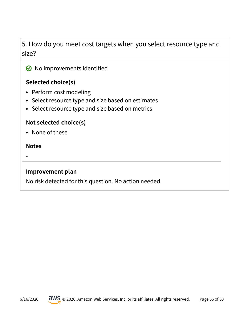## 5. How do you meet cost targets when you select resource type and size?

 $\odot$  No improvements identified

## **Selected choice(s)**

- Perform cost modeling
- Select resource type and size based on estimates
- Select resource type and size based on metrics

#### **Not selected choice(s)**

• None of these

#### **Notes**

-

#### **Improvement plan**

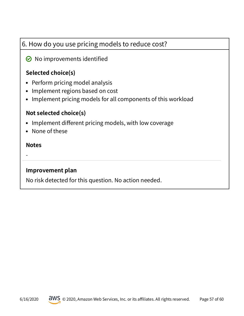## 6. How do you use pricing models to reduce cost?

## $\odot$  No improvements identified

## **Selected choice(s)**

- Perform pricing model analysis
- Implement regions based on cost
- Implement pricing models for all components of this workload

#### **Not selected choice(s)**

- Implement different pricing models, with low coverage
- None of these

#### **Notes**

-

#### **Improvement plan**

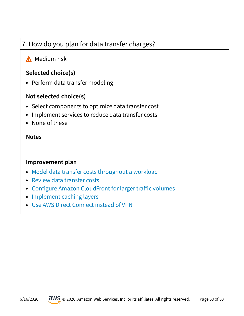## <span id="page-57-0"></span>7. How do you plan for data transfer charges?

## **A** Medium risk

### **Selected choice(s)**

• Perform data transfer modeling

#### **Not selected choice(s)**

- Select components to optimize data transfer cost
- Implement services to reduce data transfer costs
- None of these

#### **Notes**

-

- [Model data transfer costs throughout a workload](https://wa.aws.amazon.com/wat.question.COST_7.en.html#step1)
- [Review data transfer costs](https://wa.aws.amazon.com/wat.question.COST_7.en.html#step2)
- Configure Amazon CloudFront for larger traffic volumes
- [Implement caching layers](https://wa.aws.amazon.com/wat.question.COST_7.en.html#step4)
- [Use AWS Direct Connect instead of VPN](https://wa.aws.amazon.com/wat.question.COST_7.en.html#step5)

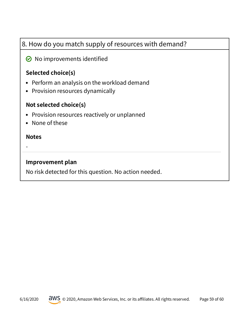## 8. How do you match supply of resources with demand?

#### $\odot$  No improvements identified

#### **Selected choice(s)**

- Perform an analysis on the workload demand
- Provision resources dynamically

#### **Not selected choice(s)**

- Provision resources reactively or unplanned
- None of these

#### **Notes**

-

#### **Improvement plan**